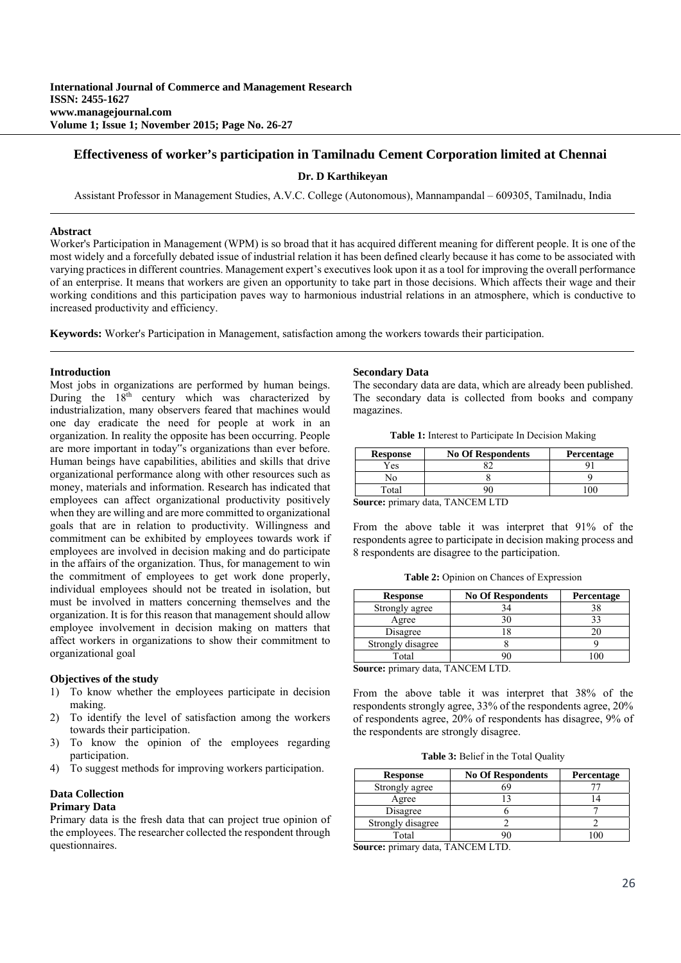# **Effectiveness of worker's participation in Tamilnadu Cement Corporation limited at Chennai**

**Dr. D Karthikeyan**

Assistant Professor in Management Studies, A.V.C. College (Autonomous), Mannampandal – 609305, Tamilnadu, India

# **Abstract**

Worker's Participation in Management (WPM) is so broad that it has acquired different meaning for different people. It is one of the most widely and a forcefully debated issue of industrial relation it has been defined clearly because it has come to be associated with varying practices in different countries. Management expert's executives look upon it as a tool for improving the overall performance of an enterprise. It means that workers are given an opportunity to take part in those decisions. Which affects their wage and their working conditions and this participation paves way to harmonious industrial relations in an atmosphere, which is conductive to increased productivity and efficiency.

**Keywords:** Worker's Participation in Management, satisfaction among the workers towards their participation.

# **Introduction**

Most jobs in organizations are performed by human beings. During the 18<sup>th</sup> century which was characterized by industrialization, many observers feared that machines would one day eradicate the need for people at work in an organization. In reality the opposite has been occurring. People are more important in today"s organizations than ever before. Human beings have capabilities, abilities and skills that drive organizational performance along with other resources such as money, materials and information. Research has indicated that employees can affect organizational productivity positively when they are willing and are more committed to organizational goals that are in relation to productivity. Willingness and commitment can be exhibited by employees towards work if employees are involved in decision making and do participate in the affairs of the organization. Thus, for management to win the commitment of employees to get work done properly, individual employees should not be treated in isolation, but must be involved in matters concerning themselves and the organization. It is for this reason that management should allow employee involvement in decision making on matters that affect workers in organizations to show their commitment to organizational goal

# **Objectives of the study**

- 1) To know whether the employees participate in decision making.
- 2) To identify the level of satisfaction among the workers towards their participation.
- 3) To know the opinion of the employees regarding participation.
- 4) To suggest methods for improving workers participation.

# **Data Collection**

# **Primary Data**

Primary data is the fresh data that can project true opinion of the employees. The researcher collected the respondent through questionnaires.

# **Secondary Data**

The secondary data are data, which are already been published. The secondary data is collected from books and company magazines.

**Table 1:** Interest to Participate In Decision Making

| <b>Response</b> | <b>No Of Respondents</b>                                                                                                                                                                                                                                                                                                            | Percentage |
|-----------------|-------------------------------------------------------------------------------------------------------------------------------------------------------------------------------------------------------------------------------------------------------------------------------------------------------------------------------------|------------|
| Yes             |                                                                                                                                                                                                                                                                                                                                     |            |
| N٥              |                                                                                                                                                                                                                                                                                                                                     |            |
| Total           |                                                                                                                                                                                                                                                                                                                                     |            |
| $\sim$          | $\pi$ , , , $\tau$ , $\pi$ , $\tau$ , $\pi$ , $\pi$ , $\tau$ , $\tau$ , $\tau$ , $\tau$ , $\tau$ , $\tau$ , $\tau$ , $\tau$ , $\tau$ , $\tau$ , $\tau$ , $\tau$ , $\tau$ , $\tau$ , $\tau$ , $\tau$ , $\tau$ , $\tau$ , $\tau$ , $\tau$ , $\tau$ , $\tau$ , $\tau$ , $\tau$ , $\tau$ , $\tau$ , $\tau$ , $\tau$ , $\tau$ , $\tau$ , |            |

**Source:** primary data, TANCEM LTD

From the above table it was interpret that 91% of the respondents agree to participate in decision making process and 8 respondents are disagree to the participation.

**Table 2:** Opinion on Chances of Expression

| <b>Response</b>   | <b>No Of Respondents</b> | Percentage |
|-------------------|--------------------------|------------|
| Strongly agree    |                          |            |
| Agree             |                          |            |
| Disagree          |                          |            |
| Strongly disagree |                          |            |
| Total             |                          |            |

**Source:** primary data, TANCEM LTD.

From the above table it was interpret that 38% of the respondents strongly agree, 33% of the respondents agree, 20% of respondents agree, 20% of respondents has disagree, 9% of the respondents are strongly disagree.

**Table 3:** Belief in the Total Quality

| <b>Response</b>   | <b>No Of Respondents</b> | <b>Percentage</b> |
|-------------------|--------------------------|-------------------|
| Strongly agree    |                          |                   |
| Agree             |                          |                   |
| Disagree          |                          |                   |
| Strongly disagree |                          |                   |
| Total             |                          |                   |

**Source:** primary data, TANCEM LTD.